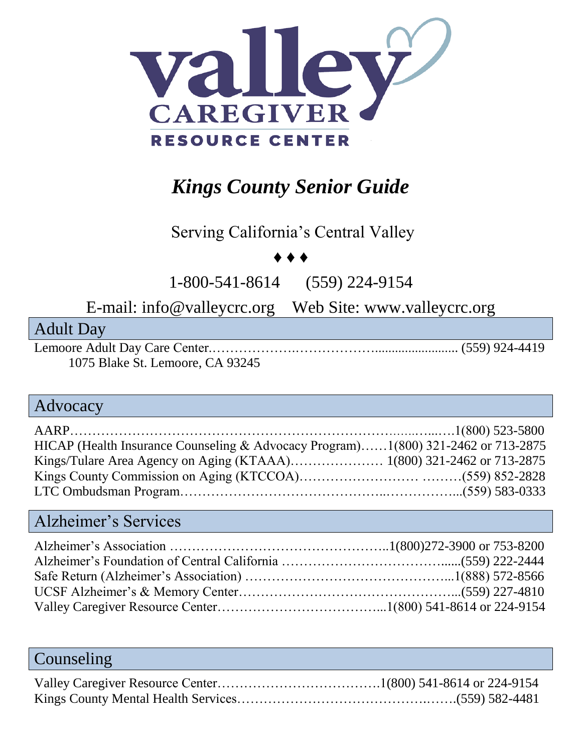

# *Kings County Senior Guide*

### Serving California's Central Valley

#### ♦ ♦ ♦

1-800-541-8614 (559) 224-9154

E-mail: [info@valleycrc.org](mailto:info@valleycrc.org) Web Site: www.valleycrc.org

| <b>Adult Day</b>                 |
|----------------------------------|
|                                  |
| 1075 Blake St. Lemoore, CA 93245 |

#### Advocacy

| HICAP (Health Insurance Counseling & Advocacy Program)1(800) 321-2462 or 713-2875 |  |
|-----------------------------------------------------------------------------------|--|
|                                                                                   |  |
|                                                                                   |  |
|                                                                                   |  |

### Alzheimer's Services

#### Counseling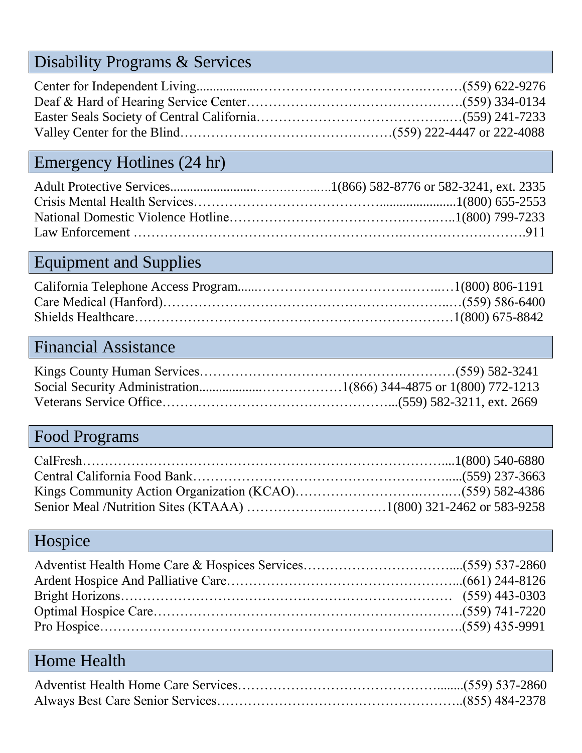### Disability Programs & Services

## Emergency Hotlines (24 hr)

### Equipment and Supplies

### Financial Assistance

# Food Programs

### Hospice

### Home Health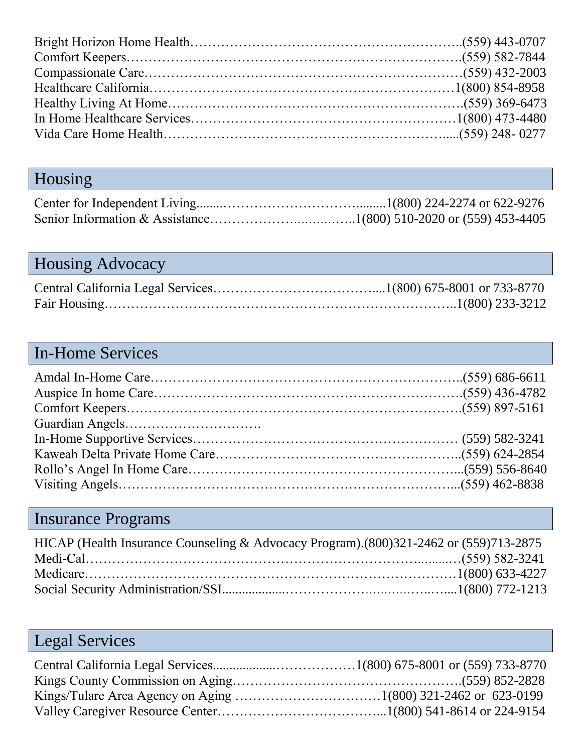# Housing

## Housing Advocacy

## In-Home Services

# Insurance Programs

| HICAP (Health Insurance Counseling & Advocacy Program). (800) 321-2462 or (559) 713-2875 |  |
|------------------------------------------------------------------------------------------|--|
|                                                                                          |  |
|                                                                                          |  |
|                                                                                          |  |

## Legal Services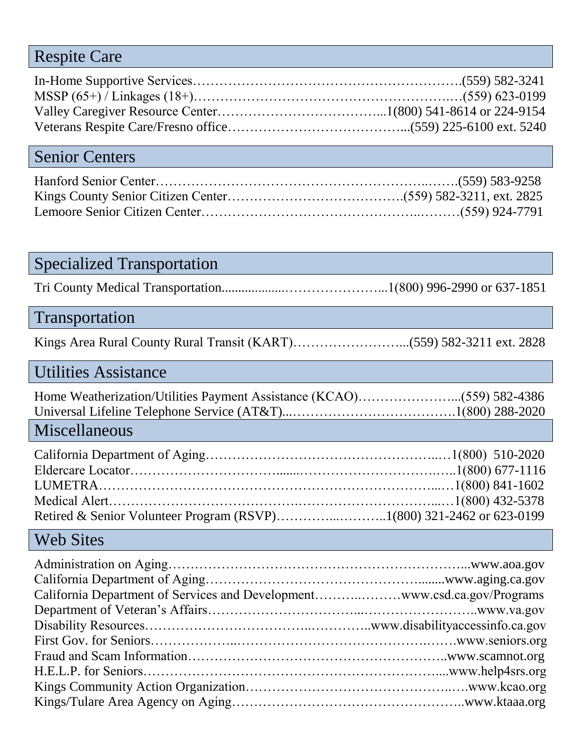#### Respite Care

### Senior Centers

#### Specialized Transportation

Tri County Medical Transportation...................…………………...1(800) 996-2990 or 637-1851

#### Transportation

Kings Area Rural County Rural Transit (KART)……………………...(559) 582-3211 ext. 2828

#### Utilities Assistance

#### Miscellaneous

#### Web Sites

| California Department of Services and Developmentwww.csd.ca.gov/Programs |  |
|--------------------------------------------------------------------------|--|
|                                                                          |  |
|                                                                          |  |
|                                                                          |  |
|                                                                          |  |
|                                                                          |  |
|                                                                          |  |
|                                                                          |  |